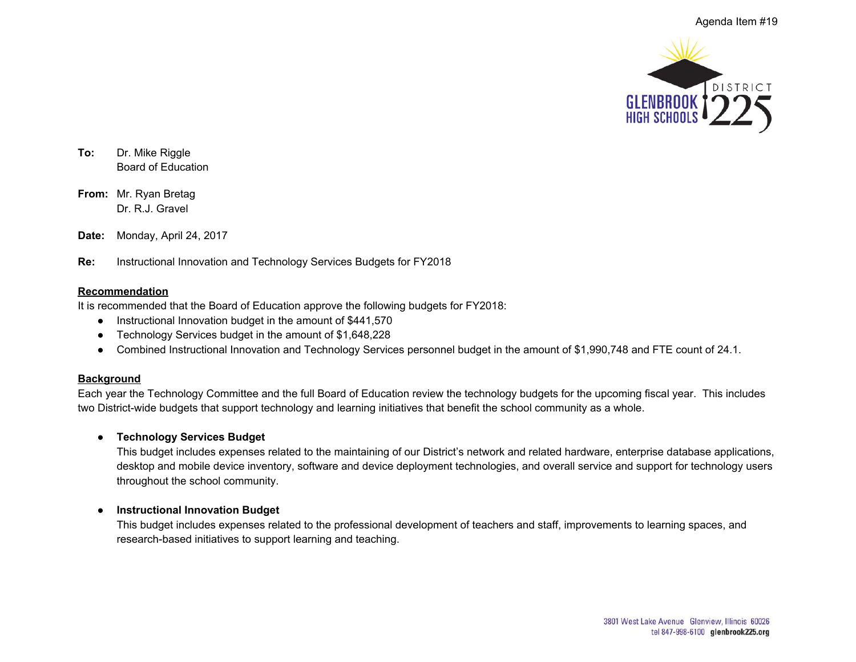

**To:** Dr. Mike Riggle Board of Education

**From:** Mr. Ryan Bretag Dr. R.J. Gravel

**Date:** Monday, April 24, 2017

**Re:** Instructional Innovation and Technology Services Budgets for FY2018

#### **Recommendation**

It is recommended that the Board of Education approve the following budgets for FY2018:

- Instructional Innovation budget in the amount of \$441,570
- Technology Services budget in the amount of \$1,648,228
- Combined Instructional Innovation and Technology Services personnel budget in the amount of \$1,990,748 and FTE count of 24.1.

#### **Background**

Each year the Technology Committee and the full Board of Education review the technology budgets for the upcoming fiscal year. This includes two District-wide budgets that support technology and learning initiatives that benefit the school community as a whole.

# ● **Technology Services Budget**

This budget includes expenses related to the maintaining of our District's network and related hardware, enterprise database applications, desktop and mobile device inventory, software and device deployment technologies, and overall service and support for technology users throughout the school community.

# ● **Instructional Innovation Budget**

This budget includes expenses related to the professional development of teachers and staff, improvements to learning spaces, and research-based initiatives to support learning and teaching.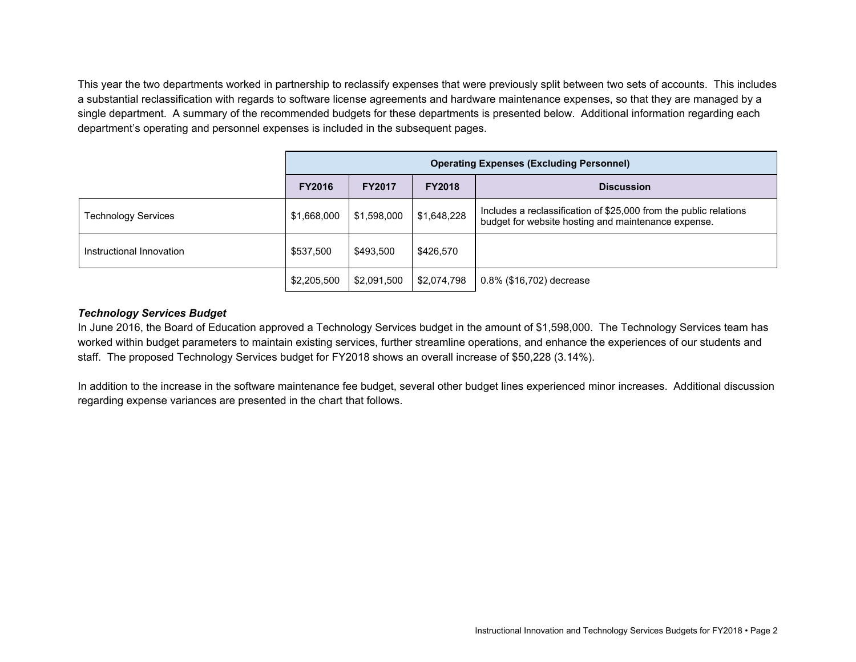This year the two departments worked in partnership to reclassify expenses that were previously split between two sets of accounts. This includes a substantial reclassification with regards to software license agreements and hardware maintenance expenses, so that they are managed by a single department. A summary of the recommended budgets for these departments is presented below. Additional information regarding each department's operating and personnel expenses is included in the subsequent pages.

|                            | <b>Operating Expenses (Excluding Personnel)</b> |               |               |                                                                                                                          |  |  |
|----------------------------|-------------------------------------------------|---------------|---------------|--------------------------------------------------------------------------------------------------------------------------|--|--|
|                            | <b>FY2016</b>                                   | <b>FY2017</b> | <b>FY2018</b> | <b>Discussion</b>                                                                                                        |  |  |
| <b>Technology Services</b> | \$1,668,000                                     | \$1,598,000   | \$1,648,228   | Includes a reclassification of \$25,000 from the public relations<br>budget for website hosting and maintenance expense. |  |  |
| Instructional Innovation   | \$537,500                                       | \$493,500     | \$426,570     |                                                                                                                          |  |  |
|                            | \$2,205,500                                     | \$2,091,500   | \$2,074,798   | 0.8% (\$16,702) decrease                                                                                                 |  |  |

# *Technology Services Budget*

In June 2016, the Board of Education approved a Technology Services budget in the amount of \$1,598,000. The Technology Services team has worked within budget parameters to maintain existing services, further streamline operations, and enhance the experiences of our students and staff. The proposed Technology Services budget for FY2018 shows an overall increase of \$50,228 (3.14%).

In addition to the increase in the software maintenance fee budget, several other budget lines experienced minor increases. Additional discussion regarding expense variances are presented in the chart that follows.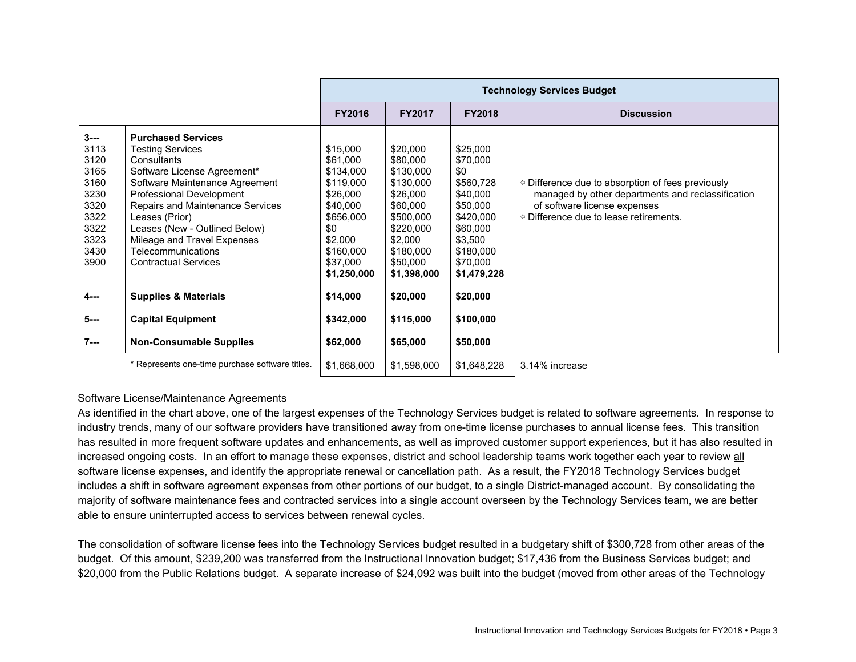|                                                                                                                     |                                                                                                                                                                                                                                                                                                                                                                                                            | <b>Technology Services Budget</b>                                                                                                                                      |                                                                                                                                                                              |                                                                                                                                                                       |                                                                                                                                                                                        |  |  |
|---------------------------------------------------------------------------------------------------------------------|------------------------------------------------------------------------------------------------------------------------------------------------------------------------------------------------------------------------------------------------------------------------------------------------------------------------------------------------------------------------------------------------------------|------------------------------------------------------------------------------------------------------------------------------------------------------------------------|------------------------------------------------------------------------------------------------------------------------------------------------------------------------------|-----------------------------------------------------------------------------------------------------------------------------------------------------------------------|----------------------------------------------------------------------------------------------------------------------------------------------------------------------------------------|--|--|
|                                                                                                                     |                                                                                                                                                                                                                                                                                                                                                                                                            | <b>FY2016</b>                                                                                                                                                          | <b>FY2017</b>                                                                                                                                                                | <b>FY2018</b>                                                                                                                                                         | <b>Discussion</b>                                                                                                                                                                      |  |  |
| $3 - -$<br>3113<br>3120<br>3165<br>3160<br>3230<br>3320<br>3322<br>3322<br>3323<br>3430<br>3900<br>$4 - -$<br>$5--$ | <b>Purchased Services</b><br><b>Testing Services</b><br>Consultants<br>Software License Agreement*<br>Software Maintenance Agreement<br>Professional Development<br>Repairs and Maintenance Services<br>Leases (Prior)<br>Leases (New - Outlined Below)<br>Mileage and Travel Expenses<br>Telecommunications<br><b>Contractual Services</b><br><b>Supplies &amp; Materials</b><br><b>Capital Equipment</b> | \$15,000<br>\$61,000<br>\$134,000<br>\$119,000<br>\$26,000<br>\$40,000<br>\$656,000<br>\$0<br>\$2,000<br>\$160,000<br>\$37,000<br>\$1,250,000<br>\$14,000<br>\$342,000 | \$20,000<br>\$80,000<br>\$130,000<br>\$130,000<br>\$26,000<br>\$60,000<br>\$500,000<br>\$220,000<br>\$2,000<br>\$180,000<br>\$50,000<br>\$1,398,000<br>\$20,000<br>\$115,000 | \$25,000<br>\$70,000<br>\$0<br>\$560,728<br>\$40,000<br>\$50,000<br>\$420,000<br>\$60,000<br>\$3,500<br>\$180,000<br>\$70,000<br>\$1,479,228<br>\$20,000<br>\$100,000 | $\circ$ Difference due to absorption of fees previously<br>managed by other departments and reclassification<br>of software license expenses<br>○ Difference due to lease retirements. |  |  |
| $7 - -$                                                                                                             | <b>Non-Consumable Supplies</b>                                                                                                                                                                                                                                                                                                                                                                             | \$62,000                                                                                                                                                               | \$65,000                                                                                                                                                                     | \$50,000                                                                                                                                                              |                                                                                                                                                                                        |  |  |
|                                                                                                                     | * Represents one-time purchase software titles.                                                                                                                                                                                                                                                                                                                                                            | \$1,668,000                                                                                                                                                            | \$1,598,000                                                                                                                                                                  | \$1,648,228                                                                                                                                                           | 3.14% increase                                                                                                                                                                         |  |  |

# Software License/Maintenance Agreements

As identified in the chart above, one of the largest expenses of the Technology Services budget is related to software agreements. In response to industry trends, many of our software providers have transitioned away from one-time license purchases to annual license fees. This transition has resulted in more frequent software updates and enhancements, as well as improved customer support experiences, but it has also resulted in increased ongoing costs. In an effort to manage these expenses, district and school leadership teams work together each year to review all software license expenses, and identify the appropriate renewal or cancellation path. As a result, the FY2018 Technology Services budget includes a shift in software agreement expenses from other portions of our budget, to a single District-managed account. By consolidating the majority of software maintenance fees and contracted services into a single account overseen by the Technology Services team, we are better able to ensure uninterrupted access to services between renewal cycles.

The consolidation of software license fees into the Technology Services budget resulted in a budgetary shift of \$300,728 from other areas of the budget. Of this amount, \$239,200 was transferred from the Instructional Innovation budget; \$17,436 from the Business Services budget; and \$20,000 from the Public Relations budget. A separate increase of \$24,092 was built into the budget (moved from other areas of the Technology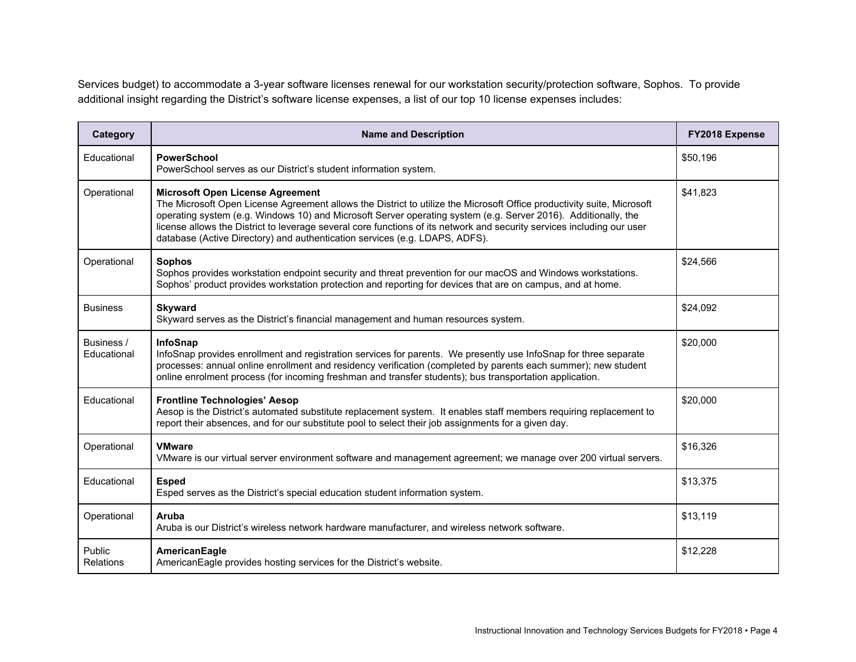Services budget) to accommodate a 3-year software licenses renewal for our workstation security/protection software, Sophos. To provide additional insight regarding the District's software license expenses, a list of our top 10 license expenses includes:

| Category                   | <b>Name and Description</b>                                                                                                                                                                                                                                                                                                                                                                                                                                                                  | FY2018 Expense |
|----------------------------|----------------------------------------------------------------------------------------------------------------------------------------------------------------------------------------------------------------------------------------------------------------------------------------------------------------------------------------------------------------------------------------------------------------------------------------------------------------------------------------------|----------------|
| Educational                | <b>PowerSchool</b><br>PowerSchool serves as our District's student information system.                                                                                                                                                                                                                                                                                                                                                                                                       | \$50,196       |
| Operational                | <b>Microsoft Open License Agreement</b><br>The Microsoft Open License Agreement allows the District to utilize the Microsoft Office productivity suite, Microsoft<br>operating system (e.g. Windows 10) and Microsoft Server operating system (e.g. Server 2016). Additionally, the<br>license allows the District to leverage several core functions of its network and security services including our user<br>database (Active Directory) and authentication services (e.g. LDAPS, ADFS). | \$41,823       |
| Operational                | <b>Sophos</b><br>Sophos provides workstation endpoint security and threat prevention for our macOS and Windows workstations.<br>Sophos' product provides workstation protection and reporting for devices that are on campus, and at home.                                                                                                                                                                                                                                                   | \$24,566       |
| <b>Business</b>            | <b>Skyward</b><br>Skyward serves as the District's financial management and human resources system.                                                                                                                                                                                                                                                                                                                                                                                          | \$24,092       |
| Business /<br>Educational  | <b>InfoSnap</b><br>InfoSnap provides enrollment and registration services for parents. We presently use InfoSnap for three separate<br>processes: annual online enrollment and residency verification (completed by parents each summer); new student<br>online enrolment process (for incoming freshman and transfer students); bus transportation application.                                                                                                                             | \$20,000       |
| Educational                | <b>Frontline Technologies' Aesop</b><br>Aesop is the District's automated substitute replacement system. It enables staff members requiring replacement to<br>report their absences, and for our substitute pool to select their job assignments for a given day.                                                                                                                                                                                                                            | \$20,000       |
| Operational                | <b>VMware</b><br>VMware is our virtual server environment software and management agreement; we manage over 200 virtual servers.                                                                                                                                                                                                                                                                                                                                                             | \$16,326       |
| Educational                | <b>Esped</b><br>Esped serves as the District's special education student information system.                                                                                                                                                                                                                                                                                                                                                                                                 | \$13,375       |
| Operational                | Aruba<br>Aruba is our District's wireless network hardware manufacturer, and wireless network software.                                                                                                                                                                                                                                                                                                                                                                                      | \$13,119       |
| Public<br><b>Relations</b> | AmericanEagle<br>AmericanEagle provides hosting services for the District's website.                                                                                                                                                                                                                                                                                                                                                                                                         | \$12,228       |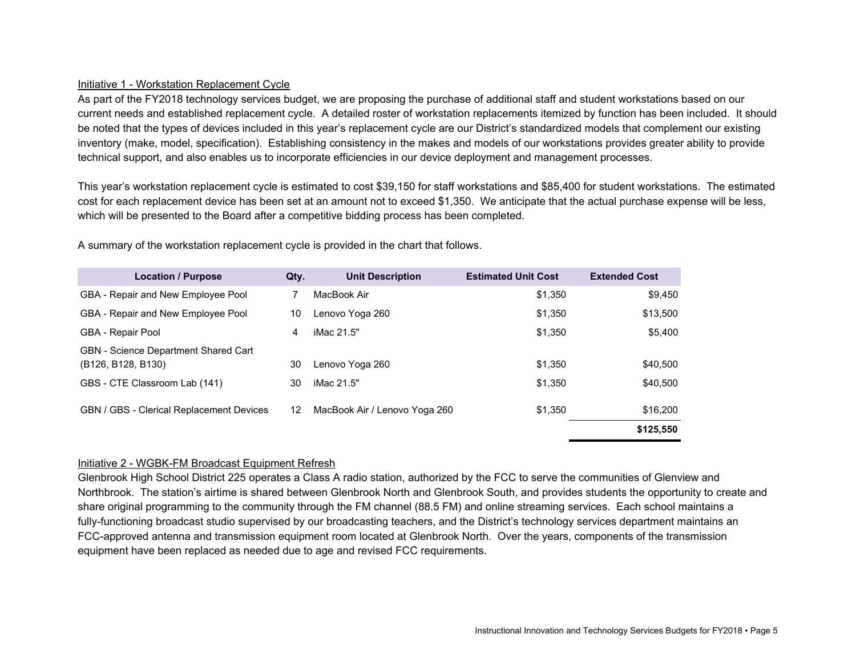# Initiative 1 - Workstation Replacement Cycle

As part of the FY2018 technology services budget, we are proposing the purchase of additional staff and student workstations based on our current needs and established replacement cycle. A detailed roster of workstation replacements itemized by function has been included. It should be noted that the types of devices included in this year's replacement cycle are our District's standardized models that complement our existing inventory (make, model, specification). Establishing consistency in the makes and models of our workstations provides greater ability to provide technical support, and also enables us to incorporate efficiencies in our device deployment and management processes.

This year's workstation replacement cycle is estimated to cost \$39,150 for staff workstations and \$85,400 for student workstations. The estimated cost for each replacement device has been set at an amount not to exceed \$1,350. We anticipate that the actual purchase expense will be less, which will be presented to the Board after a competitive bidding process has been completed.

| <b>Location / Purpose</b>                                                                                | Qty. | <b>Unit Description</b>       | <b>Estimated Unit Cost</b> | <b>Extended Cost</b> |
|----------------------------------------------------------------------------------------------------------|------|-------------------------------|----------------------------|----------------------|
| GBA - Repair and New Employee Pool                                                                       |      | MacBook Air                   | \$1,350                    | \$9.450              |
| GBA - Repair and New Employee Pool                                                                       | 10   | Lenovo Yoga 260               | \$1,350                    | \$13,500             |
| <b>GBA - Repair Pool</b>                                                                                 | 4    | iMac 21.5"                    | \$1,350                    | \$5.400              |
| <b>GBN</b> - Science Department Shared Cart<br>(B <sub>126</sub> , B <sub>128</sub> , B <sub>130</sub> ) | 30   | Lenovo Yoga 260               | \$1,350                    | \$40,500             |
| GBS - CTE Classroom Lab (141)                                                                            | 30   | iMac 21.5"                    | \$1,350                    | \$40,500             |
| <b>GBN / GBS - Clerical Replacement Devices</b>                                                          | 12   | MacBook Air / Lenovo Yoga 260 | \$1,350                    | \$16,200             |
|                                                                                                          |      |                               |                            | \$125,550            |

A summary of the workstation replacement cycle is provided in the chart that follows.

#### Initiative 2 - WGBK-FM Broadcast Equipment Refresh

Glenbrook High School District 225 operates a Class A radio station, authorized by the FCC to serve the communities of Glenview and Northbrook. The station's airtime is shared between Glenbrook North and Glenbrook South, and provides students the opportunity to create and share original programming to the community through the FM channel (88.5 FM) and online streaming services. Each school maintains a fully-functioning broadcast studio supervised by our broadcasting teachers, and the District's technology services department maintains an FCC-approved antenna and transmission equipment room located at Glenbrook North. Over the years, components of the transmission equipment have been replaced as needed due to age and revised FCC requirements.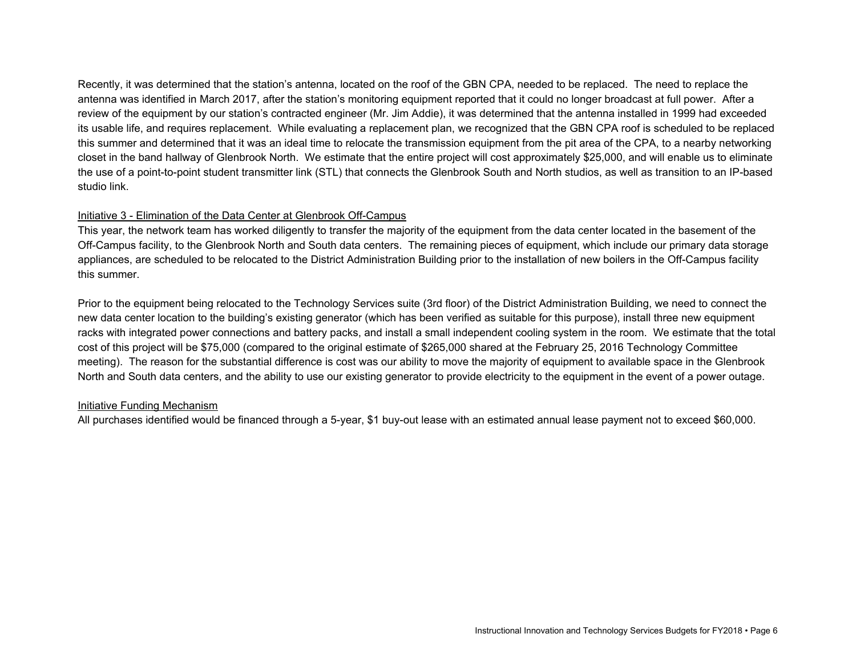Recently, it was determined that the station's antenna, located on the roof of the GBN CPA, needed to be replaced. The need to replace the antenna was identified in March 2017, after the station's monitoring equipment reported that it could no longer broadcast at full power. After a review of the equipment by our station's contracted engineer (Mr. Jim Addie), it was determined that the antenna installed in 1999 had exceeded its usable life, and requires replacement. While evaluating a replacement plan, we recognized that the GBN CPA roof is scheduled to be replaced this summer and determined that it was an ideal time to relocate the transmission equipment from the pit area of the CPA, to a nearby networking closet in the band hallway of Glenbrook North. We estimate that the entire project will cost approximately \$25,000, and will enable us to eliminate the use of a point-to-point student transmitter link (STL) that connects the Glenbrook South and North studios, as well as transition to an IP-based studio link.

# Initiative 3 - Elimination of the Data Center at Glenbrook Off-Campus

This year, the network team has worked diligently to transfer the majority of the equipment from the data center located in the basement of the Off-Campus facility, to the Glenbrook North and South data centers. The remaining pieces of equipment, which include our primary data storage appliances, are scheduled to be relocated to the District Administration Building prior to the installation of new boilers in the Off-Campus facility this summer.

Prior to the equipment being relocated to the Technology Services suite (3rd floor) of the District Administration Building, we need to connect the new data center location to the building's existing generator (which has been verified as suitable for this purpose), install three new equipment racks with integrated power connections and battery packs, and install a small independent cooling system in the room. We estimate that the total cost of this project will be \$75,000 (compared to the original estimate of \$265,000 shared at the February 25, 2016 Technology Committee meeting). The reason for the substantial difference is cost was our ability to move the majority of equipment to available space in the Glenbrook North and South data centers, and the ability to use our existing generator to provide electricity to the equipment in the event of a power outage.

# Initiative Funding Mechanism

All purchases identified would be financed through a 5-year, \$1 buy-out lease with an estimated annual lease payment not to exceed \$60,000.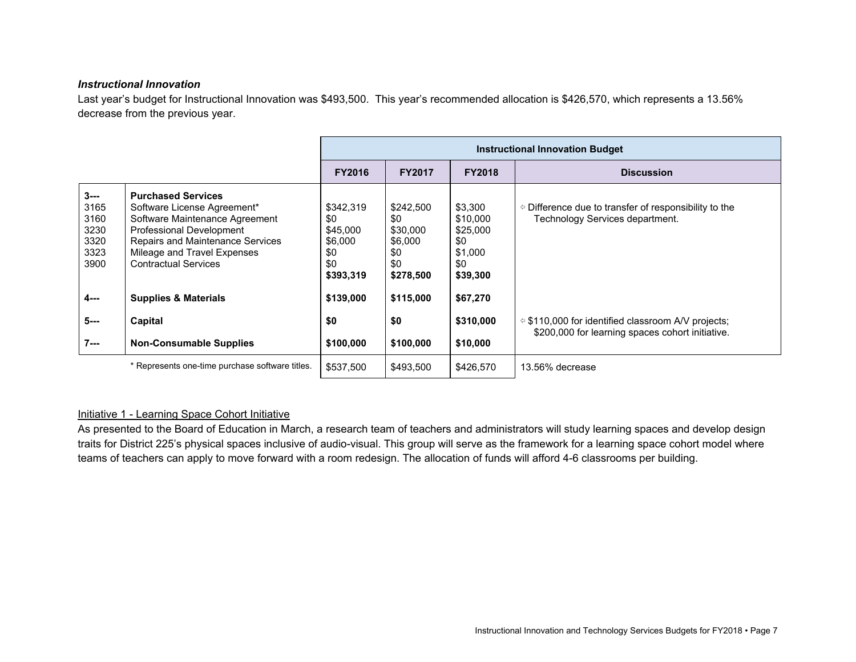# *Instructional Innovation*

Last year's budget for Instructional Innovation was \$493,500. This year's recommended allocation is \$426,570, which represents a 13.56% decrease from the previous year.

|                                                         |                                                                                                                                                                                                                                 | <b>Instructional Innovation Budget</b>                             |                                                                    |                                                                      |                                                                                                                |  |  |
|---------------------------------------------------------|---------------------------------------------------------------------------------------------------------------------------------------------------------------------------------------------------------------------------------|--------------------------------------------------------------------|--------------------------------------------------------------------|----------------------------------------------------------------------|----------------------------------------------------------------------------------------------------------------|--|--|
|                                                         |                                                                                                                                                                                                                                 | <b>FY2016</b>                                                      | <b>FY2017</b>                                                      | <b>FY2018</b>                                                        | <b>Discussion</b>                                                                                              |  |  |
| $3 - -$<br>3165<br>3160<br>3230<br>3320<br>3323<br>3900 | <b>Purchased Services</b><br>Software License Agreement*<br>Software Maintenance Agreement<br><b>Professional Development</b><br>Repairs and Maintenance Services<br>Mileage and Travel Expenses<br><b>Contractual Services</b> | \$342,319<br>\$0<br>\$45,000<br>\$6,000<br>\$0<br>\$0<br>\$393,319 | \$242,500<br>\$0<br>\$30,000<br>\$6,000<br>\$0<br>\$0<br>\$278,500 | \$3,300<br>\$10,000<br>\$25,000<br>\$0<br>\$1,000<br>\$0<br>\$39,300 | $\circ$ Difference due to transfer of responsibility to the<br>Technology Services department.                 |  |  |
| 4---                                                    | <b>Supplies &amp; Materials</b>                                                                                                                                                                                                 | \$139,000                                                          | \$115,000                                                          | \$67,270                                                             |                                                                                                                |  |  |
| 5---                                                    | Capital                                                                                                                                                                                                                         | \$0                                                                | \$0                                                                | \$310,000                                                            | $\approx$ \$110,000 for identified classroom A/V projects;<br>\$200,000 for learning spaces cohort initiative. |  |  |
| $7 - -$                                                 | <b>Non-Consumable Supplies</b>                                                                                                                                                                                                  | \$100,000                                                          | \$100,000                                                          | \$10,000                                                             |                                                                                                                |  |  |
|                                                         | * Represents one-time purchase software titles.                                                                                                                                                                                 | \$537,500                                                          | \$493,500                                                          | \$426,570                                                            | 13.56% decrease                                                                                                |  |  |

# Initiative 1 - Learning Space Cohort Initiative

As presented to the Board of Education in March, a research team of teachers and administrators will study learning spaces and develop design traits for District 225's physical spaces inclusive of audio-visual. This group will serve as the framework for a learning space cohort model where teams of teachers can apply to move forward with a room redesign. The allocation of funds will afford 4-6 classrooms per building.